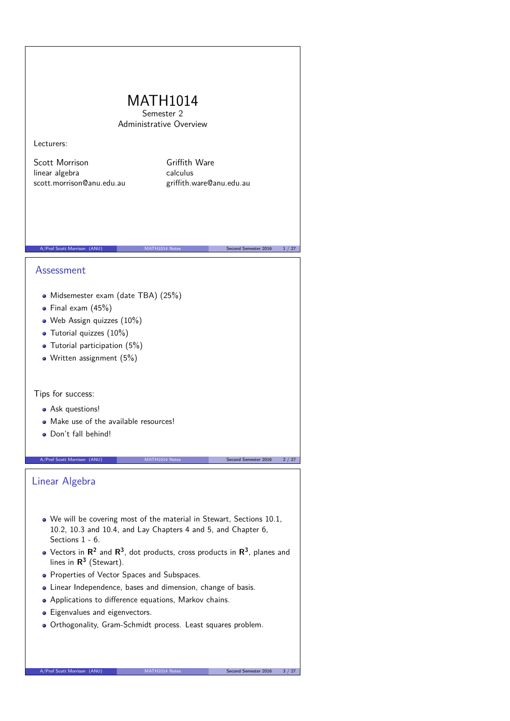# MATH1014 Semester 2 Administrative Overview Lecturers: Scott Morrison linear algebra scott.morrison@anu.edu.au Griffith Ware calculus griffith.ware@anu.edu.au A/Prof Scott Morrison (ANU) MATH1014 Notes Second Semester 2016 1/27 Assessment Midsemester exam (date TBA) (25%)  $\bullet$  Final exam (45%) Web Assign quizzes (10%) • Tutorial quizzes (10%) • Tutorial participation (5%) • Written assignment (5%) Tips for success: Ask questions! • Make use of the available resources! Don't fall behind! A/Prof Scott Morrison (ANU) MATH1014 Notes Second Semester 2016 2/27 Linear Algebra We will be covering most of the material in Stewart, Sections 10.1, 10.2, 10.3 and 10.4, and Lay Chapters 4 and 5, and Chapter 6, Sections 1 - 6. Vectors in  $\mathsf{R}^2$  and  $\mathsf{R}^3$ , dot products, cross products in  $\mathsf{R}^3$ , planes and lines in **R 3** (Stewart). • Properties of Vector Spaces and Subspaces. Linear Independence, bases and dimension, change of basis. Applications to difference equations, Markov chains. • Eigenvalues and eigenvectors. Orthogonality, Gram-Schmidt process. Least squares problem.

A/Prof Scott Morrison (ANU) MATH1014 Notes Second Semester 2016 3 / 27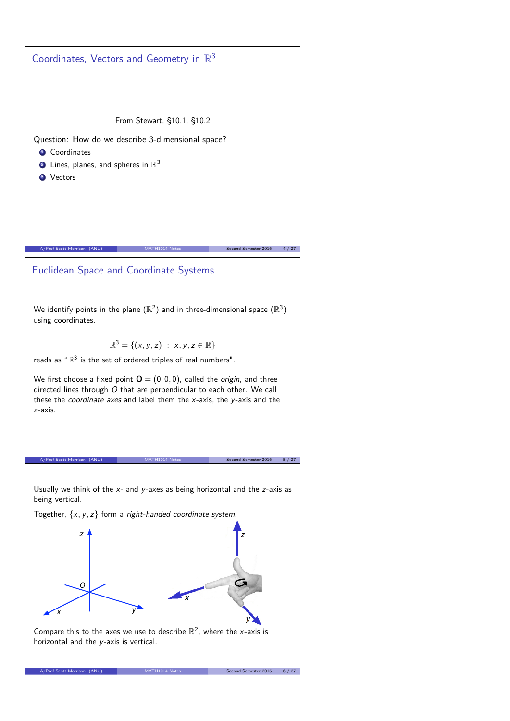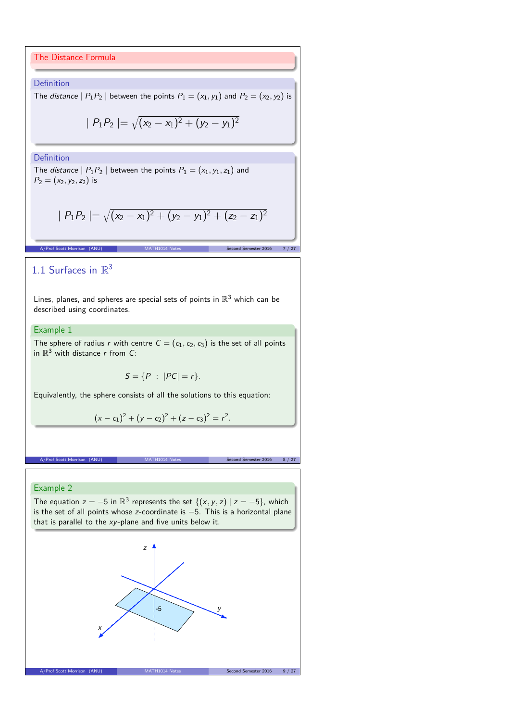#### The Distance Formula

#### **Definition**

The *distance*  $|P_1P_2|$  between the points  $P_1 = (x_1, y_1)$  and  $P_2 = (x_2, y_2)$  is

$$
|P_1P_2| = \sqrt{(x_2 - x_1)^2 + (y_2 - y_1)^2}
$$

### Definition

The *distance*  $| P_1P_2 |$  between the points  $P_1 = (x_1, y_1, z_1)$  and  $P_2 = (x_2, y_2, z_2)$  is

$$
|P_1P_2| = \sqrt{(x_2 - x_1)^2 + (y_2 - y_1)^2 + (z_2 - z_1)^2}
$$

A/Prof Scott Morrison (ANU) MATH1014 Notes Second Semester 2016 7 / 27

# 1.1 Surfaces in  $\mathbb{R}^3$

Lines, planes, and spheres are special sets of points in  $\mathbb{R}^3$  which can be described using coordinates.

# Example 1

The sphere of radius  $\mathsf r$  with centre  $\mathsf C=(\mathsf c_1,\mathsf c_2,\mathsf c_3)$  is the set of all points in  $\mathbb{R}^3$  with distance r from C:

$$
S=\{P\;:\;|PC|=r\}.
$$

Equivalently, the sphere consists of all the solutions to this equation:

$$
(x-c1)2 + (y - c2)2 + (z - c3)2 = r2.
$$

A/Prof Scott Morrison (ANU) MATH1014 Notes Second Semester 2016 8 / 27

## Example 2

The equation  $z = -5$  in  $\mathbb{R}^3$  represents the set  $\{(x, y, z) | z = -5\}$ , which is the set of all points whose z-coordinate is −5. This is a horizontal plane that is parallel to the xy-plane and five units below it.

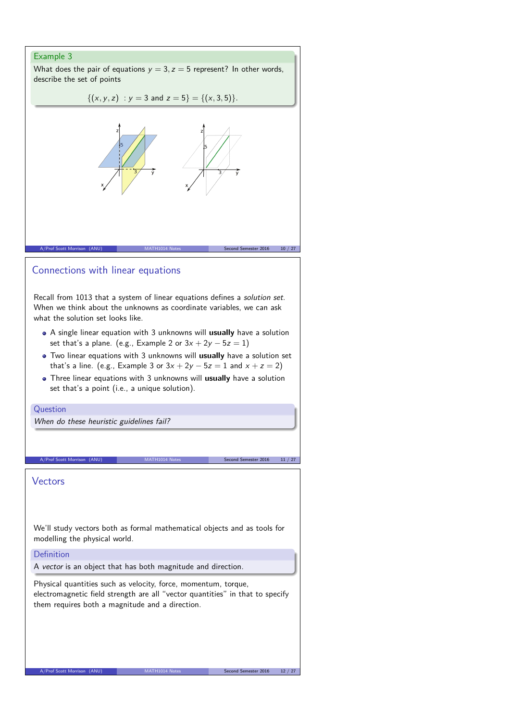# Example 3

What does the pair of equations  $y = 3$ ,  $z = 5$  represent? In other words, describe the set of points

$$
\{(x,y,z) : y = 3 \text{ and } z = 5\} = \{(x,3,5)\}.
$$



# Connections with linear equations

Recall from 1013 that a system of linear equations defines a solution set. When we think about the unknowns as coordinate variables, we can ask what the solution set looks like.

- A single linear equation with 3 unknowns will **usually** have a solution set that's a plane. (e.g., Example 2 or  $3x + 2y - 5z = 1$ )
- Two linear equations with 3 unknowns will **usually** have a solution set that's a line. (e.g., Example 3 or  $3x + 2y - 5z = 1$  and  $x + z = 2$ )
- Three linear equations with 3 unknowns will **usually** have a solution set that's a point (i.e., a unique solution).

A/Prof Scott Morrison (ANU) MATH1014 Notes Second Semester 2016 11 / 27

#### Question

When do these heuristic guidelines fail?

Vectors

We'll study vectors both as formal mathematical objects and as tools for modelling the physical world.

### Definition

A vector is an object that has both magnitude and direction.

Physical quantities such as velocity, force, momentum, torque, electromagnetic field strength are all "vector quantities" in that to specify them requires both a magnitude and a direction.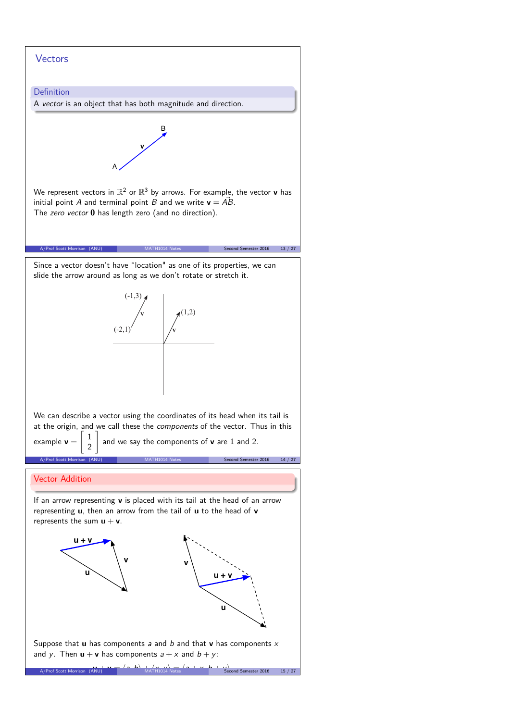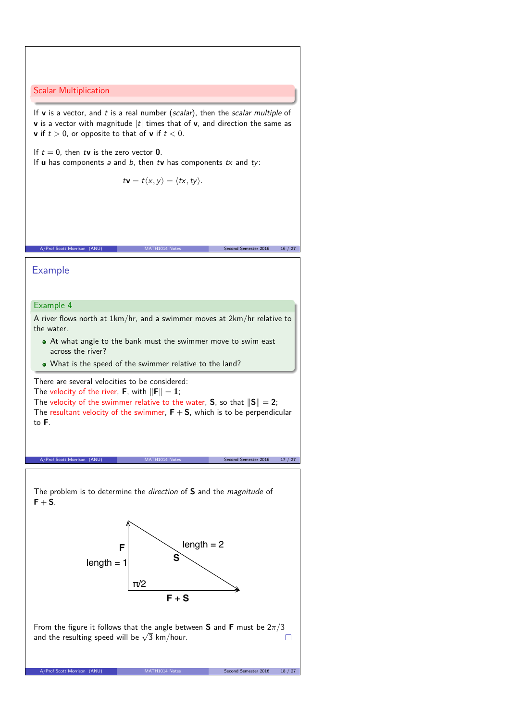Scalar Multiplication

If **v** is a vector, and t is a real number (scalar), then the scalar multiple of **v** is a vector with magnitude  $|t|$  times that of **v**, and direction the same as **v** if  $t > 0$ , or opposite to that of **v** if  $t < 0$ .

If  $t = 0$ , then  $t\mathbf{v}$  is the zero vector **0**.

If **u** has components a and b, then tv has components tx and ty:

$$
t\mathbf{v}=t\langle x,y\rangle=\langle tx,ty\rangle.
$$

A/Prof Scott Morrison (ANU) MATH1014 Notes Second Semester 2016 16 / 27

Example

### Example 4

A river flows north at 1km/hr, and a swimmer moves at 2km/hr relative to the water.

- At what angle to the bank must the swimmer move to swim east across the river?
- What is the speed of the swimmer relative to the land?

There are several velocities to be considered: The velocity of the river, **F**, with  $\|\mathbf{F}\| = 1$ ;

The velocity of the swimmer relative to the water, **S**, so that  $\|\mathbf{S}\| = 2$ ; The resultant velocity of the swimmer,  $F + S$ , which is to be perpendicular to **F**.

A/Prof Scott Morrison (ANU) MATH1014 Notes Second Semester 2016 17 / 27





From the figure it follows that the angle between **S** and **F** must be 2*π/*3 and the resulting speed will be  $\sqrt{3}$  km/hour.  $\Box$ 

A/Prof Scott Morrison (ANU) MATH1014 Notes Second Semester 2016 18 / 27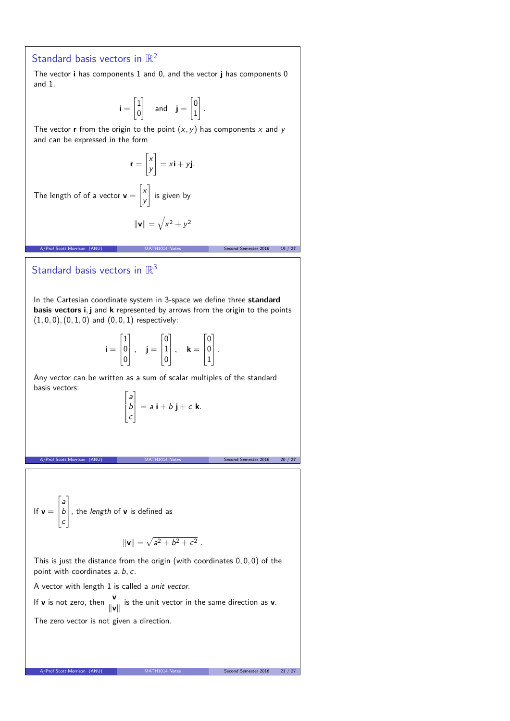# Standard basis vectors in  $\mathbb{R}^2$

The vector **i** has components 1 and 0, and the vector **j** has components 0 and 1.

$$
\mathbf{i} = \begin{bmatrix} 1 \\ 0 \end{bmatrix} \quad \text{and} \quad \mathbf{j} = \begin{bmatrix} 0 \\ 1 \end{bmatrix}.
$$

The vector **r** from the origin to the point  $(x, y)$  has components x and y and can be expressed in the form

$$
\mathbf{r} = \begin{bmatrix} x \\ y \end{bmatrix} = x\mathbf{i} + y\mathbf{j}.
$$
  
of of a vector  $\mathbf{v} = \begin{bmatrix} x \\ y \end{bmatrix}$  is given by  

$$
||\mathbf{v}|| = \sqrt{x^2 + y^2}
$$

# Standard basis vectors in  $\mathbb{R}^3$

The length

In the Cartesian coordinate system in 3-space we define three **standard basis vectors i***,* **j** and **k** represented by arrows from the origin to the points (1*,* 0*,* 0)*,*(0*,* 1*,* 0) and (0*,* 0*,* 1) respectively:

A/Prof Scott Morrison (ANU) MATH1014 Notes Second Semester 2016 19 / 27

$$
\mathbf{i} = \begin{bmatrix} 1 \\ 0 \\ 0 \end{bmatrix}, \quad \mathbf{j} = \begin{bmatrix} 0 \\ 1 \\ 0 \end{bmatrix}, \quad \mathbf{k} = \begin{bmatrix} 0 \\ 0 \\ 1 \end{bmatrix}.
$$

Any vector can be written as a sum of scalar multiples of the standard basis vectors:

$$
\begin{bmatrix} a \\ b \\ c \end{bmatrix} = a \mathbf{i} + b \mathbf{j} + c \mathbf{k}.
$$

A/Prof Scott Morrison (ANU) MATH1014 Notes Second Semester 2016 20 / 27

If **v** =  $\Gamma$  $\overline{\phantom{a}}$ a b c T , the length of **<sup>v</sup>** is defined as

$$
\|\mathbf{v}\| = \sqrt{a^2 + b^2 + c^2} \; .
$$

This is just the distance from the origin (with coordinates 0*,* 0*,* 0) of the point with coordinates a*,* b*,* c.

A vector with length 1 is called a unit vector.

If **v** is not zero, then  $\frac{v}{v}$  $\frac{1}{\|\mathbf{v}\|}$  is the unit vector in the same direction as **v**. The zero vector is not given a direction.

A/Prof Scott Morrison (ANU) MATH1014 Notes Second Semester 2016 21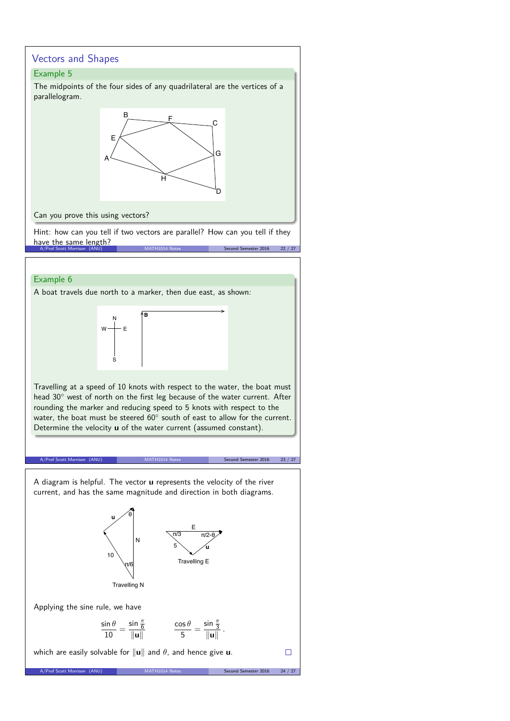# Vectors and Shapes

# Example 5

The midpoints of the four sides of any quadrilateral are the vertices of a parallelogram.



Can you prove this using vectors?

Hint: how can you tell if two vectors are parallel? How can you tell if they have the same length? Second Semester 2016 22 / 27

## Example 6

A boat travels due north to a marker, then due east, as shown:

N S  $w \rightarrow$  E **B**

Travelling at a speed of 10 knots with respect to the water, the boat must head 30° west of north on the first leg because of the water current. After rounding the marker and reducing speed to 5 knots with respect to the water, the boat must be steered  $60^{\circ}$  south of east to allow for the current. Determine the velocity **u** of the water current (assumed constant).

A/Prof Scott Morrison (ANU) MATH1014 Notes Second Semester 2016 23 / 27

 $\Box$ 

A diagram is helpful. The vector **u** represents the velocity of the river current, and has the same magnitude and direction in both diagrams.

> N **u** 10 θ



Applying the sine rule, we have

$$
\frac{\sin \theta}{10} = \frac{\sin \frac{\pi}{6}}{\|\mathbf{u}\|} \qquad \qquad \frac{\cos \theta}{5} = \frac{\sin \frac{\pi}{3}}{\|\mathbf{u}\|}.
$$

A/Prof Scott Morrison (ANU) MATH1014 Notes Second Semester 2016 24 / 27

E

π/2-θ

 $5 \searrow \measuredangle$ u

π/3

Travelling E

which are easily solvable for  $\|\mathbf{u}\|$  and  $\theta$ , and hence give **u**.